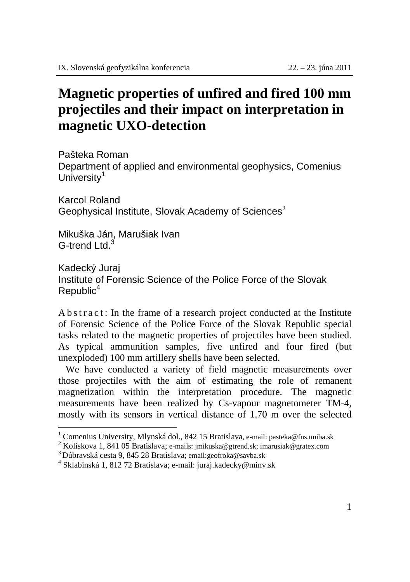## **Magnetic properties of unfired and fired 100 mm projectiles and their impact on interpretation in magnetic UXO-detection**

Pašteka Roman Department of applied and environmental geophysics, Comenius University $1$ 

Karcol Roland Geophysical Institute, Slovak Academy of Sciences<sup>2</sup>

Mikuška Ján, Marušiak Ivan G-trend Ltd.<sup>3</sup>

 $\overline{a}$ 

Kadecký Juraj Institute of Forensic Science of the Police Force of the Slovak  $Republic<sup>4</sup>$ 

A b s t r a c t : In the frame of a research project conducted at the Institute of Forensic Science of the Police Force of the Slovak Republic special tasks related to the magnetic properties of projectiles have been studied. As typical ammunition samples, five unfired and four fired (but unexploded) 100 mm artillery shells have been selected.

 We have conducted a variety of field magnetic measurements over those projectiles with the aim of estimating the role of remanent magnetization within the interpretation procedure. The magnetic measurements have been realized by Cs-vapour magnetometer TM-4, mostly with its sensors in vertical distance of 1.70 m over the selected

<sup>&</sup>lt;sup>1</sup> Comenius University, Mlynská dol., 842 15 Bratislava, e-mail: pasteka@fns.uniba.sk  $2 K$ olíckova 1, 841.05 Pratislava: e-mail: imilyako@etaped.eku.jpratislava.com

<sup>&</sup>lt;sup>2</sup> Kolískova 1, 841 05 Bratislava; e-mails: jmikuska@gtrend.sk; imarusiak@gratex.com <sup>3</sup> Dúbravská cesta 9, 845 28 Bratislava; e-mail: juraj.kadecky@minv.sk <sup>4</sup> Sklabinská 1, 812 72 Bratislava; e-mail: juraj.kadecky@minv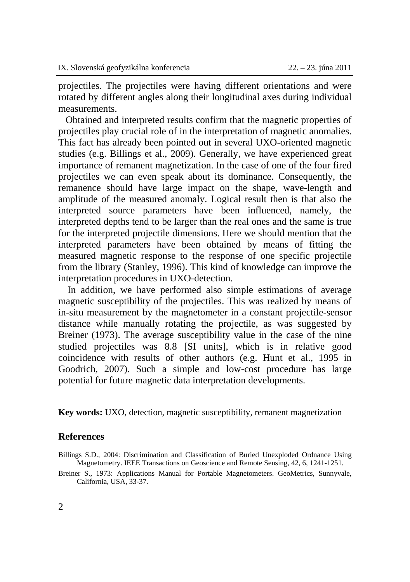projectiles. The projectiles were having different orientations and were rotated by different angles along their longitudinal axes during individual measurements.

 Obtained and interpreted results confirm that the magnetic properties of projectiles play crucial role of in the interpretation of magnetic anomalies. This fact has already been pointed out in several UXO-oriented magnetic studies (e.g. Billings et al., 2009). Generally, we have experienced great importance of remanent magnetization. In the case of one of the four fired projectiles we can even speak about its dominance. Consequently, the remanence should have large impact on the shape, wave-length and amplitude of the measured anomaly. Logical result then is that also the interpreted source parameters have been influenced, namely, the interpreted depths tend to be larger than the real ones and the same is true for the interpreted projectile dimensions. Here we should mention that the interpreted parameters have been obtained by means of fitting the measured magnetic response to the response of one specific projectile from the library (Stanley, 1996). This kind of knowledge can improve the interpretation procedures in UXO-detection.

In addition, we have performed also simple estimations of average magnetic susceptibility of the projectiles. This was realized by means of in-situ measurement by the magnetometer in a constant projectile-sensor distance while manually rotating the projectile, as was suggested by Breiner (1973). The average susceptibility value in the case of the nine studied projectiles was 8.8 [SI units], which is in relative good coincidence with results of other authors (e.g. Hunt et al., 1995 in Goodrich, 2007). Such a simple and low-cost procedure has large potential for future magnetic data interpretation developments.

**Key words:** UXO, detection, magnetic susceptibility, remanent magnetization

## **References**

Billings S.D., 2004: Discrimination and Classification of Buried Unexploded Ordnance Using Magnetometry. IEEE Transactions on Geoscience and Remote Sensing, 42, 6, 1241-1251.

Breiner S., 1973: Applications Manual for Portable Magnetometers. GeoMetrics, Sunnyvale, California, USA, 33-37.